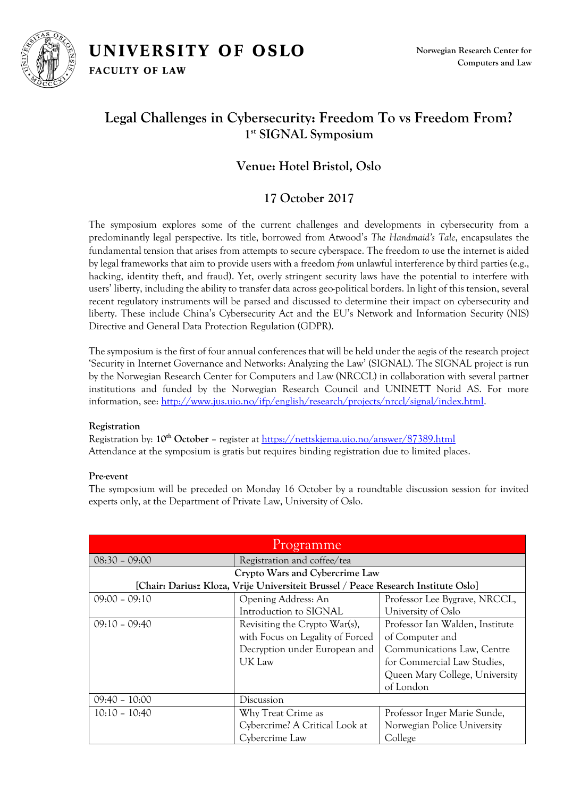

# **Legal Challenges in Cybersecurity: Freedom To vs Freedom From? 1 st SIGNAL Symposium**

## **Venue: Hotel Bristol, Oslo**

### **17 October 2017**

The symposium explores some of the current challenges and developments in cybersecurity from a predominantly legal perspective. Its title, borrowed from Atwood's *The Handmaid's Tale*, encapsulates the fundamental tension that arises from attempts to secure cyberspace. The freedom *to* use the internet is aided by legal frameworks that aim to provide users with a freedom *from* unlawful interference by third parties (e.g., hacking, identity theft, and fraud). Yet, overly stringent security laws have the potential to interfere with users' liberty, including the ability to transfer data across geo-political borders. In light of this tension, several recent regulatory instruments will be parsed and discussed to determine their impact on cybersecurity and liberty. These include China's Cybersecurity Act and the EU's Network and Information Security (NIS) Directive and General Data Protection Regulation (GDPR).

The symposium is the first of four annual conferences that will be held under the aegis of the research project 'Security in Internet Governance and Networks: Analyzing the Law' (SIGNAL). The SIGNAL project is run by the Norwegian Research Center for Computers and Law (NRCCL) in collaboration with several partner institutions and funded by the Norwegian Research Council and UNINETT Norid AS. For more information, see: [http://www.jus.uio.no/ifp/english/research/projects/nrccl/signal/index.html.](http://www.jus.uio.no/ifp/english/research/projects/nrccl/signal/index.html)

### **Registration**

Registration by: **10th October** – register at<https://nettskjema.uio.no/answer/87389.html> Attendance at the symposium is gratis but requires binding registration due to limited places.

### **Pre-event**

The symposium will be preceded on Monday 16 October by a roundtable discussion session for invited experts only, at the Department of Private Law, University of Oslo.

| Programme                                                                          |                                  |                                 |
|------------------------------------------------------------------------------------|----------------------------------|---------------------------------|
| $08:30 - 09:00$                                                                    | Registration and coffee/tea      |                                 |
| Crypto Wars and Cybercrime Law                                                     |                                  |                                 |
| [Chair: Dariusz Kloza, Vrije Universiteit Brussel / Peace Research Institute Oslo] |                                  |                                 |
| $09:00 - 09:10$                                                                    | Opening Address: An              | Professor Lee Bygrave, NRCCL,   |
|                                                                                    | Introduction to SIGNAL           | University of Oslo              |
| $09:10 - 09:40$                                                                    | Revisiting the Crypto War(s),    | Professor Ian Walden, Institute |
|                                                                                    | with Focus on Legality of Forced | of Computer and                 |
|                                                                                    | Decryption under European and    | Communications Law, Centre      |
|                                                                                    | UK Law                           | for Commercial Law Studies,     |
|                                                                                    |                                  | Queen Mary College, University  |
|                                                                                    |                                  | of London                       |
| $09:40 - 10:00$                                                                    | Discussion                       |                                 |
| $10:10 - 10:40$                                                                    | Why Treat Crime as               | Professor Inger Marie Sunde,    |
|                                                                                    | Cybercrime? A Critical Look at   | Norwegian Police University     |
|                                                                                    | Cybercrime Law                   | College                         |